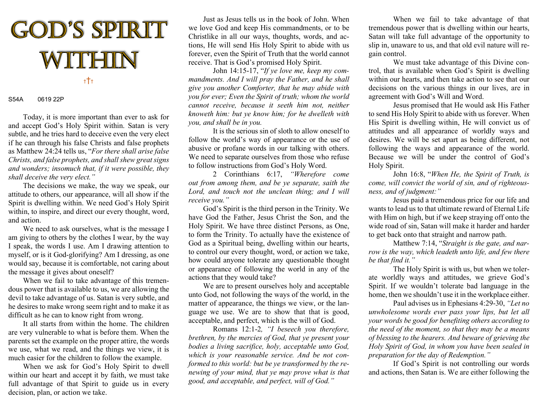

## S54A 0619 22P

Today, it is more important than ever to ask for and accept God's Holy Spirit within. Satan is very subtle, and he tries hard to deceive even the very elect if he can through his false Christs and false prophets as Matthew 24:24 tells us, "For there shall arise false Christs, and false prophets, and shall shew great signs and wonders; insomuch that, if it were possible, they shall deceive the very elect."

 The decisions we make, the way we speak, our attitude to others, our appearance, will all show if the Spirit is dwelling within. We need God's Holy Spirit within, to inspire, and direct our every thought, word, and action.

 We need to ask ourselves, what is the message I am giving to others by the clothes I wear, by the way I speak, the words I use. Am I drawing attention to myself, or is it God-glorifying? Am I dressing, as one would say, because it is comfortable, not caring about the message it gives about oneself?

 When we fail to take advantage of this tremendous power that is available to us, we are allowing the devil to take advantage of us. Satan is very subtle, and he desires to make wrong seem right and to make it as difficult as he can to know right from wrong.

 It all starts from within the home. The children are very vulnerable to what is before them. When the parents set the example on the proper attire, the words we use, what we read, and the things we view, it is much easier for the children to follow the example.

 When we ask for God's Holy Spirit to dwell within our heart and accept it by faith, we must take full advantage of that Spirit to guide us in every decision, plan, or action we take.

 Just as Jesus tells us in the book of John. When we love God and keep His commandments, or to be Christlike in all our ways, thoughts, words, and actions, He will send His Holy Spirit to abide with us forever, even the Spirit of Truth that the world cannot receive. That is God's promised Holy Spirit.

John 14:15-17, "If ye love me, keep my commandments. And I will pray the Father, and he shall give you another Comforter, that he may abide with you for ever; Even the Spirit of truth; whom the world cannot receive, because it seeth him not, neither knoweth him: but ye know him; for he dwelleth with you, and shall be in you.

It is the serious sin of sloth to allow oneself to follow the world's way of appearance or the use of abusive or profane words in our talking with others. We need to separate ourselves from those who refuse to follow instructions from God's Holy Word.

2 Corinthians 6:17, "Wherefore come out from among them, and be ye separate, saith the Lord, and touch not the unclean thing; and I will receive you."

 God's Spirit is the third person in the Trinity. We have God the Father, Jesus Christ the Son, and the Holy Spirit. We have three distinct Persons, as One, to form the Trinity. To actually have the existence of God as a Spiritual being, dwelling within our hearts, to control our every thought, word, or action we take, how could anyone tolerate any questionable thought or appearance of following the world in any of the actions that they would take?

 We are to present ourselves holy and acceptable unto God, not following the ways of the world, in the matter of appearance, the things we view, or the language we use. We are to show that that is good, acceptable, and perfect, which is the will of God.

Romans 12:1-2, "I beseech you therefore, brethren, by the mercies of God, that ye present your bodies a living sacrifice, holy, acceptable unto God, which is your reasonable service. And be not conformed to this world: but be ye transformed by the renewing of your mind, that ye may prove what is that good, and acceptable, and perfect, will of God."

When we fail to take advantage of that tremendous power that is dwelling within our hearts, Satan will take full advantage of the opportunity to slip in, unaware to us, and that old evil nature will regain control.

We must take advantage of this Divine control, that is available when God's Spirit is dwelling within our hearts, and then take action to see that our decisions on the various things in our lives, are in agreement with God's Will and Word.

Jesus promised that He would ask His Father to send His Holy Spirit to abide with us forever. When His Spirit is dwelling within, He will convict us of attitudes and all appearance of worldly ways and desires. We will be set apart as being different, not following the ways and appearance of the world. Because we will be under the control of God's Holy Spirit.

John 16:8, "When He, the Spirit of Truth, is come, will convict the world of sin, and of righteousness, and of judgment:"

Jesus paid a tremendous price for our life and wants to lead us to that ultimate reward of Eternal Life with Him on high, but if we keep straying off onto the wide road of sin, Satan will make it harder and harder to get back onto that straight and narrow path.

Matthew 7:14, "Straight is the gate, and narrow is the way, which leadeth unto life, and few there be that find it."

The Holy Spirit is with us, but when we tolerate worldly ways and attitudes, we grieve God's Spirit. If we wouldn't tolerate bad language in the home, then we shouldn't use it in the workplace either.

Paul advises us in Ephesians 4:29-30, "Let no unwholesome words ever pass your lips, but let all your words be good for benefiting others according to the need of the moment, so that they may be a means of blessing to the hearers. And beware of grieving the Holy Spirit of God, in whom you have been sealed in preparation for the day of Redemption."

If God's Spirit is not controlling our words and actions, then Satan is. We are either following the